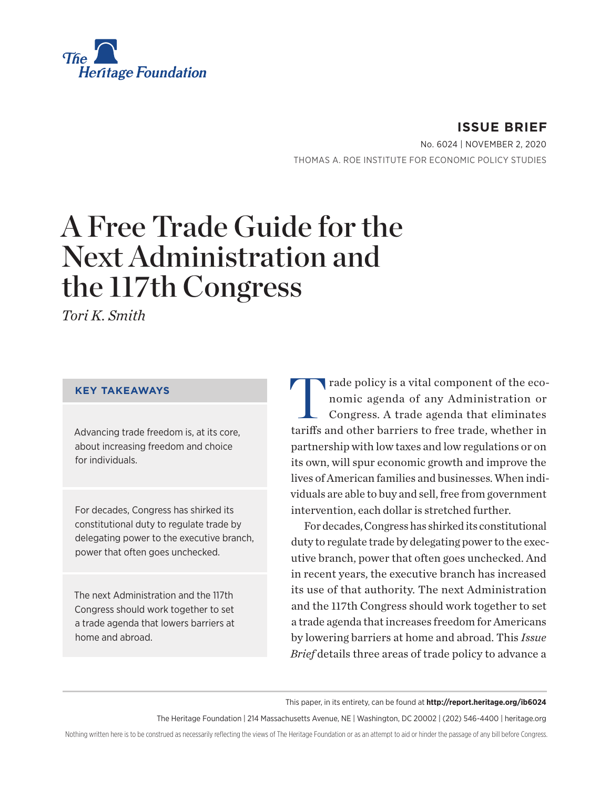

**ISSUE BRIEF** No. 6024 | November 2, 2020 THOMAS A. ROE INSTITUTE FOR ECONOMIC POLICY STUDIES

# A Free Trade Guide for the Next Administration and the 117th Congress

*Tori K. Smith*

#### **KEY TAKEAWAYS**

Advancing trade freedom is, at its core, about increasing freedom and choice for individuals.

For decades, Congress has shirked its constitutional duty to regulate trade by delegating power to the executive branch, power that often goes unchecked.

The next Administration and the 117th Congress should work together to set a trade agenda that lowers barriers at home and abroad.

Trade policy is a vital component of the eco-<br>nomic agenda of any Administration or<br>Congress. A trade agenda that eliminates nomic agenda of any Administration or Congress. A trade agenda that eliminates tariffs and other barriers to free trade, whether in partnership with low taxes and low regulations or on its own, will spur economic growth and improve the lives of American families and businesses. When individuals are able to buy and sell, free from government intervention, each dollar is stretched further.

For decades, Congress has shirked its constitutional duty to regulate trade by delegating power to the executive branch, power that often goes unchecked. And in recent years, the executive branch has increased its use of that authority. The next Administration and the 117th Congress should work together to set a trade agenda that increases freedom for Americans by lowering barriers at home and abroad. This *Issue Brief* details three areas of trade policy to advance a

This paper, in its entirety, can be found at **http://report.heritage.org/ib6024**

The Heritage Foundation | 214 Massachusetts Avenue, NE | Washington, DC 20002 | (202) 546-4400 | heritage.org

Nothing written here is to be construed as necessarily reflecting the views of The Heritage Foundation or as an attempt to aid or hinder the passage of any bill before Congress.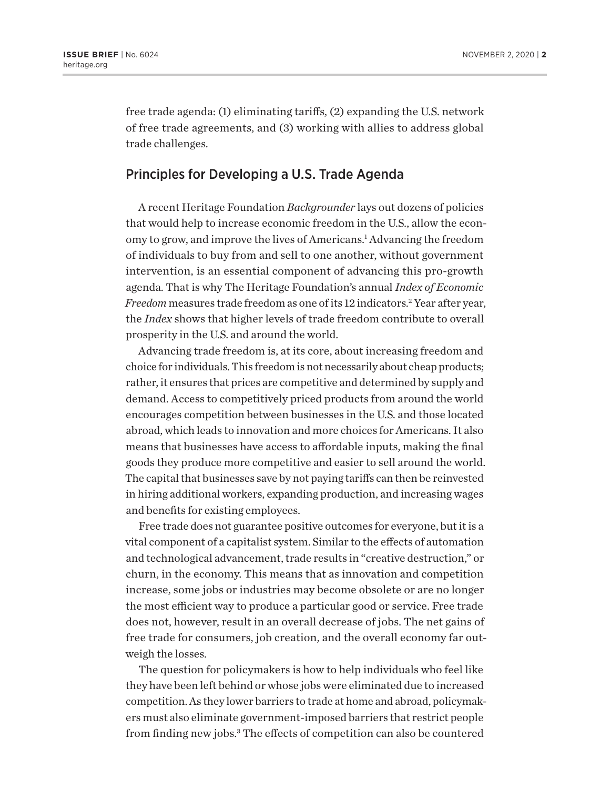free trade agenda: (1) eliminating tariffs, (2) expanding the U.S. network of free trade agreements, and (3) working with allies to address global trade challenges.

#### Principles for Developing a U.S. Trade Agenda

A recent Heritage Foundation *Backgrounder* lays out dozens of policies that would help to increase economic freedom in the U.S., allow the economy to grow, and improve the lives of Americans.<sup>1</sup> Advancing the freedom of individuals to buy from and sell to one another, without government intervention, is an essential component of advancing this pro-growth agenda. That is why The Heritage Foundation's annual *Index of Economic Freedom* measures trade freedom as one of its 12 indicators.2 Year after year, the *Index* shows that higher levels of trade freedom contribute to overall prosperity in the U.S. and around the world.

Advancing trade freedom is, at its core, about increasing freedom and choice for individuals. This freedom is not necessarily about cheap products; rather, it ensures that prices are competitive and determined by supply and demand. Access to competitively priced products from around the world encourages competition between businesses in the U.S. and those located abroad, which leads to innovation and more choices for Americans. It also means that businesses have access to affordable inputs, making the final goods they produce more competitive and easier to sell around the world. The capital that businesses save by not paying tariffs can then be reinvested in hiring additional workers, expanding production, and increasing wages and benefits for existing employees.

Free trade does not guarantee positive outcomes for everyone, but it is a vital component of a capitalist system. Similar to the effects of automation and technological advancement, trade results in "creative destruction," or churn, in the economy. This means that as innovation and competition increase, some jobs or industries may become obsolete or are no longer the most efficient way to produce a particular good or service. Free trade does not, however, result in an overall decrease of jobs. The net gains of free trade for consumers, job creation, and the overall economy far outweigh the losses.

The question for policymakers is how to help individuals who feel like they have been left behind or whose jobs were eliminated due to increased competition. As they lower barriers to trade at home and abroad, policymakers must also eliminate government-imposed barriers that restrict people from finding new jobs.3 The effects of competition can also be countered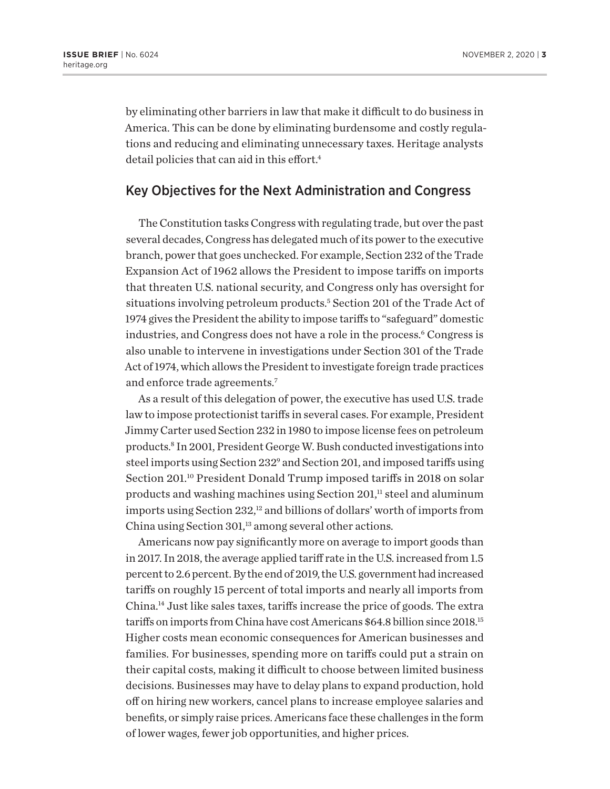by eliminating other barriers in law that make it difficult to do business in America. This can be done by eliminating burdensome and costly regulations and reducing and eliminating unnecessary taxes. Heritage analysts detail policies that can aid in this effort.<sup>4</sup>

#### Key Objectives for the Next Administration and Congress

The Constitution tasks Congress with regulating trade, but over the past several decades, Congress has delegated much of its power to the executive branch, power that goes unchecked. For example, Section 232 of the Trade Expansion Act of 1962 allows the President to impose tariffs on imports that threaten U.S. national security, and Congress only has oversight for situations involving petroleum products.5 Section 201 of the Trade Act of 1974 gives the President the ability to impose tariffs to "safeguard" domestic industries, and Congress does not have a role in the process.<sup>6</sup> Congress is also unable to intervene in investigations under Section 301 of the Trade Act of 1974, which allows the President to investigate foreign trade practices and enforce trade agreements.7

As a result of this delegation of power, the executive has used U.S. trade law to impose protectionist tariffs in several cases. For example, President Jimmy Carter used Section 232 in 1980 to impose license fees on petroleum products.8 In 2001, President George W. Bush conducted investigations into steel imports using Section 232<sup>9</sup> and Section 201, and imposed tariffs using Section 201.<sup>10</sup> President Donald Trump imposed tariffs in 2018 on solar products and washing machines using Section  $201$ ,<sup>11</sup> steel and aluminum imports using Section  $232<sup>12</sup>$  and billions of dollars' worth of imports from China using Section  $301$ ,<sup>13</sup> among several other actions.

Americans now pay significantly more on average to import goods than in 2017. In 2018, the average applied tariff rate in the U.S. increased from 1.5 percent to 2.6 percent. By the end of 2019, the U.S. government had increased tariffs on roughly 15 percent of total imports and nearly all imports from China.14 Just like sales taxes, tariffs increase the price of goods. The extra tariffs on imports from China have cost Americans \$64.8 billion since 2018.15 Higher costs mean economic consequences for American businesses and families. For businesses, spending more on tariffs could put a strain on their capital costs, making it difficult to choose between limited business decisions. Businesses may have to delay plans to expand production, hold off on hiring new workers, cancel plans to increase employee salaries and benefits, or simply raise prices. Americans face these challenges in the form of lower wages, fewer job opportunities, and higher prices.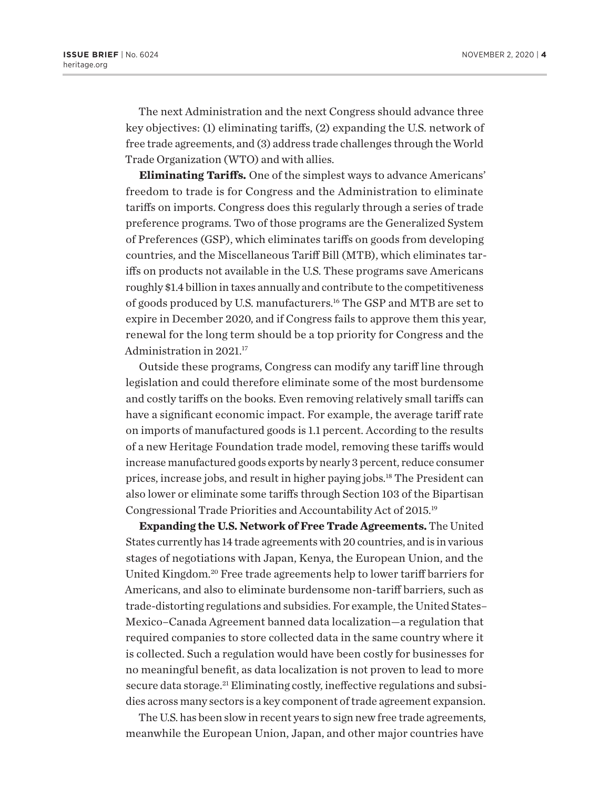The next Administration and the next Congress should advance three key objectives: (1) eliminating tariffs, (2) expanding the U.S. network of free trade agreements, and (3) address trade challenges through the World Trade Organization (WTO) and with allies.

**Eliminating Tariffs.** One of the simplest ways to advance Americans' freedom to trade is for Congress and the Administration to eliminate tariffs on imports. Congress does this regularly through a series of trade preference programs. Two of those programs are the Generalized System of Preferences (GSP), which eliminates tariffs on goods from developing countries, and the Miscellaneous Tariff Bill (MTB), which eliminates tariffs on products not available in the U.S. These programs save Americans roughly \$1.4 billion in taxes annually and contribute to the competitiveness of goods produced by U.S. manufacturers.16 The GSP and MTB are set to expire in December 2020, and if Congress fails to approve them this year, renewal for the long term should be a top priority for Congress and the Administration in 2021.17

Outside these programs, Congress can modify any tariff line through legislation and could therefore eliminate some of the most burdensome and costly tariffs on the books. Even removing relatively small tariffs can have a significant economic impact. For example, the average tariff rate on imports of manufactured goods is 1.1 percent. According to the results of a new Heritage Foundation trade model, removing these tariffs would increase manufactured goods exports by nearly 3 percent, reduce consumer prices, increase jobs, and result in higher paying jobs.18 The President can also lower or eliminate some tariffs through Section 103 of the Bipartisan Congressional Trade Priorities and Accountability Act of 2015.19

**Expanding the U.S. Network of Free Trade Agreements.** The United States currently has 14 trade agreements with 20 countries, and is in various stages of negotiations with Japan, Kenya, the European Union, and the United Kingdom.20 Free trade agreements help to lower tariff barriers for Americans, and also to eliminate burdensome non-tariff barriers, such as trade-distorting regulations and subsidies. For example, the United States– Mexico–Canada Agreement banned data localization—a regulation that required companies to store collected data in the same country where it is collected. Such a regulation would have been costly for businesses for no meaningful benefit, as data localization is not proven to lead to more secure data storage.<sup>21</sup> Eliminating costly, ineffective regulations and subsidies across many sectors is a key component of trade agreement expansion.

The U.S. has been slow in recent years to sign new free trade agreements, meanwhile the European Union, Japan, and other major countries have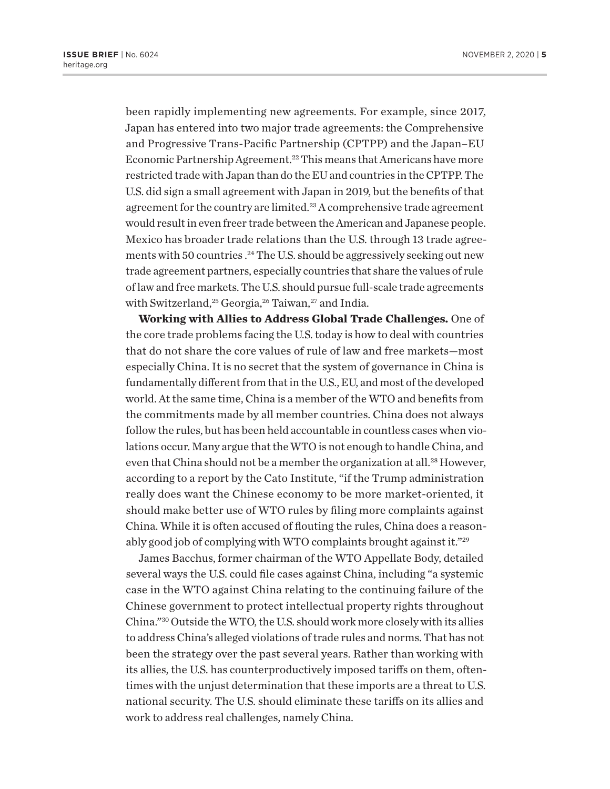been rapidly implementing new agreements. For example, since 2017, Japan has entered into two major trade agreements: the Comprehensive and Progressive Trans-Pacific Partnership (CPTPP) and the Japan–EU Economic Partnership Agreement.<sup>22</sup> This means that Americans have more restricted trade with Japan than do the EU and countries in the CPTPP. The U.S. did sign a small agreement with Japan in 2019, but the benefits of that agreement for the country are limited.<sup>23</sup> A comprehensive trade agreement would result in even freer trade between the American and Japanese people. Mexico has broader trade relations than the U.S. through 13 trade agreements with 50 countries.<sup>24</sup> The U.S. should be aggressively seeking out new trade agreement partners, especially countries that share the values of rule of law and free markets. The U.S. should pursue full-scale trade agreements with Switzerland,<sup>25</sup> Georgia,<sup>26</sup> Taiwan,<sup>27</sup> and India.

**Working with Allies to Address Global Trade Challenges.** One of the core trade problems facing the U.S. today is how to deal with countries that do not share the core values of rule of law and free markets—most especially China. It is no secret that the system of governance in China is fundamentally different from that in the U.S., EU, and most of the developed world. At the same time, China is a member of the WTO and benefits from the commitments made by all member countries. China does not always follow the rules, but has been held accountable in countless cases when violations occur. Many argue that the WTO is not enough to handle China, and even that China should not be a member the organization at all.<sup>28</sup> However, according to a report by the Cato Institute, "if the Trump administration really does want the Chinese economy to be more market-oriented, it should make better use of WTO rules by filing more complaints against China. While it is often accused of flouting the rules, China does a reasonably good job of complying with WTO complaints brought against it."29

James Bacchus, former chairman of the WTO Appellate Body, detailed several ways the U.S. could file cases against China, including "a systemic case in the WTO against China relating to the continuing failure of the Chinese government to protect intellectual property rights throughout China."30 Outside the WTO, the U.S. should work more closely with its allies to address China's alleged violations of trade rules and norms. That has not been the strategy over the past several years. Rather than working with its allies, the U.S. has counterproductively imposed tariffs on them, oftentimes with the unjust determination that these imports are a threat to U.S. national security. The U.S. should eliminate these tariffs on its allies and work to address real challenges, namely China.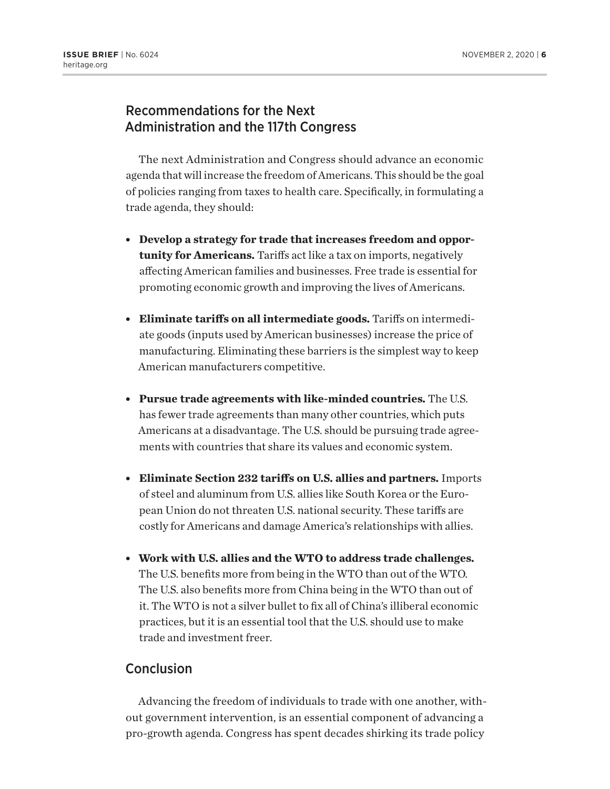## Recommendations for the Next Administration and the 117th Congress

The next Administration and Congress should advance an economic agenda that will increase the freedom of Americans. This should be the goal of policies ranging from taxes to health care. Specifically, in formulating a trade agenda, they should:

- **Develop a strategy for trade that increases freedom and opportunity for Americans.** Tariffs act like a tax on imports, negatively affecting American families and businesses. Free trade is essential for promoting economic growth and improving the lives of Americans.
- <sup>l</sup> **Eliminate tariffs on all intermediate goods.** Tariffs on intermediate goods (inputs used by American businesses) increase the price of manufacturing. Eliminating these barriers is the simplest way to keep American manufacturers competitive.
- <sup>l</sup> **Pursue trade agreements with like-minded countries.** The U.S. has fewer trade agreements than many other countries, which puts Americans at a disadvantage. The U.S. should be pursuing trade agreements with countries that share its values and economic system.
- <sup>l</sup> **Eliminate Section 232 tariffs on U.S. allies and partners.** Imports of steel and aluminum from U.S. allies like South Korea or the European Union do not threaten U.S. national security. These tariffs are costly for Americans and damage America's relationships with allies.
- <sup>l</sup> **Work with U.S. allies and the WTO to address trade challenges.**  The U.S. benefits more from being in the WTO than out of the WTO. The U.S. also benefits more from China being in the WTO than out of it. The WTO is not a silver bullet to fix all of China's illiberal economic practices, but it is an essential tool that the U.S. should use to make trade and investment freer.

### **Conclusion**

Advancing the freedom of individuals to trade with one another, without government intervention, is an essential component of advancing a pro-growth agenda. Congress has spent decades shirking its trade policy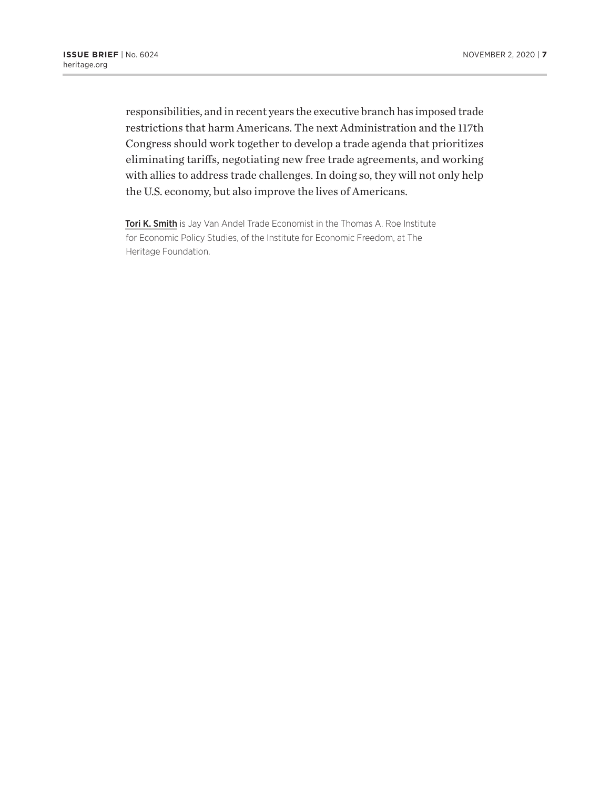responsibilities, and in recent years the executive branch has imposed trade restrictions that harm Americans. The next Administration and the 117th Congress should work together to develop a trade agenda that prioritizes eliminating tariffs, negotiating new free trade agreements, and working with allies to address trade challenges. In doing so, they will not only help the U.S. economy, but also improve the lives of Americans.

Tori K. Smith is Jay Van Andel Trade Economist in the Thomas A. Roe Institute for Economic Policy Studies, of the Institute for Economic Freedom, at The Heritage Foundation.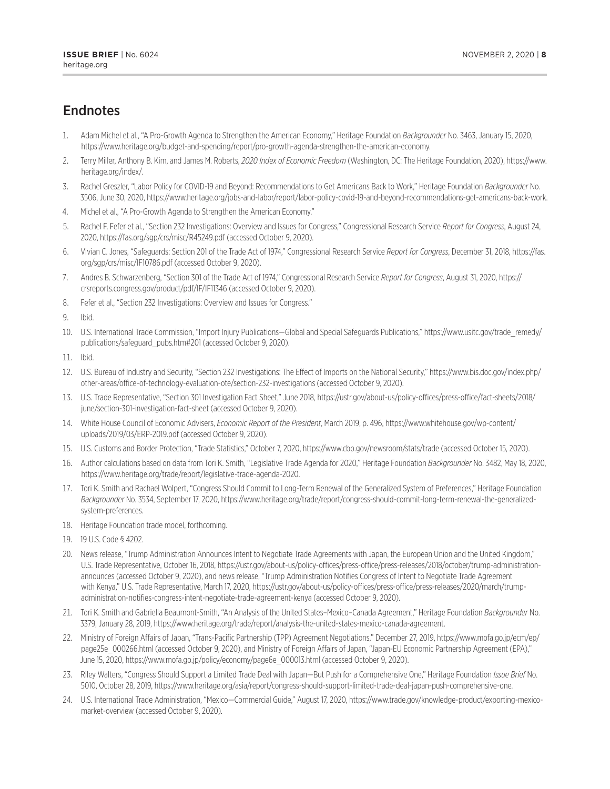## **Endnotes**

- 1. Adam Michel et al., "A Pro-Growth Agenda to Strengthen the American Economy," Heritage Foundation *Backgrounder* No. 3463, January 15, 2020, https://www.heritage.org/budget-and-spending/report/pro-growth-agenda-strengthen-the-american-economy.
- 2. Terry Miller, Anthony B. Kim, and James M. Roberts, *2020 Index of Economic Freedom* (Washington, DC: The Heritage Foundation, 2020), https://www. heritage.org/index/.
- 3. Rachel Greszler, "Labor Policy for COVID-19 and Beyond: Recommendations to Get Americans Back to Work," Heritage Foundation *Backgrounder* No. 3506, June 30, 2020, https://www.heritage.org/jobs-and-labor/report/labor-policy-covid-19-and-beyond-recommendations-get-americans-back-work.
- 4. Michel et al., "A Pro-Growth Agenda to Strengthen the American Economy."
- 5. Rachel F. Fefer et al., "Section 232 Investigations: Overview and Issues for Congress," Congressional Research Service *Report for Congress*, August 24, 2020, https://fas.org/sgp/crs/misc/R45249.pdf (accessed October 9, 2020).
- 6. Vivian C. Jones, "Safeguards: Section 201 of the Trade Act of 1974," Congressional Research Service *Report for Congress*, December 31, 2018, https://fas. org/sgp/crs/misc/IF10786.pdf (accessed October 9, 2020).
- 7. Andres B. Schwarzenberg, "Section 301 of the Trade Act of 1974," Congressional Research Service *Report for Congress*, August 31, 2020, https:// crsreports.congress.gov/product/pdf/IF/IF11346 (accessed October 9, 2020).
- 8. Fefer et al., "Section 232 Investigations: Overview and Issues for Congress."

9. Ibid.

10. U.S. International Trade Commission, "Import Injury Publications—Global and Special Safeguards Publications," https://www.usitc.gov/trade\_remedy/ publications/safeguard\_pubs.htm#201 (accessed October 9, 2020).

11. Ibid.

- 12. U.S. Bureau of Industry and Security, "Section 232 Investigations: The Effect of Imports on the National Security," https://www.bis.doc.gov/index.php/ other-areas/office-of-technology-evaluation-ote/section-232-investigations (accessed October 9, 2020).
- 13. U.S. Trade Representative, "Section 301 Investigation Fact Sheet," June 2018, https://ustr.gov/about-us/policy-offices/press-office/fact-sheets/2018/ june/section-301-investigation-fact-sheet (accessed October 9, 2020).
- 14. White House Council of Economic Advisers, *Economic Report of the President*, March 2019, p. 496, https://www.whitehouse.gov/wp-content/ uploads/2019/03/ERP-2019.pdf (accessed October 9, 2020).
- 15. U.S. Customs and Border Protection, "Trade Statistics," October 7, 2020, https://www.cbp.gov/newsroom/stats/trade (accessed October 15, 2020).
- 16. Author calculations based on data from Tori K. Smith, "Legislative Trade Agenda for 2020," Heritage Foundation *Backgrounder* No. 3482, May 18, 2020, https://www.heritage.org/trade/report/legislative-trade-agenda-2020.
- 17. Tori K. Smith and Rachael Wolpert, "Congress Should Commit to Long-Term Renewal of the Generalized System of Preferences," Heritage Foundation *Backgrounder* No. 3534, September 17, 2020, https://www.heritage.org/trade/report/congress-should-commit-long-term-renewal-the-generalizedsystem-preferences.
- 18. Heritage Foundation trade model, forthcoming.
- 19. 19 U.S. Code § 4202.
- 20. News release, "Trump Administration Announces Intent to Negotiate Trade Agreements with Japan, the European Union and the United Kingdom," U.S. Trade Representative, October 16, 2018, https://ustr.gov/about-us/policy-offices/press-office/press-releases/2018/october/trump-administrationannounces (accessed October 9, 2020), and news release, "Trump Administration Notifies Congress of Intent to Negotiate Trade Agreement with Kenya," U.S. Trade Representative, March 17, 2020, https://ustr.gov/about-us/policy-offices/press-office/press-releases/2020/march/trumpadministration-notifies-congress-intent-negotiate-trade-agreement-kenya (accessed October 9, 2020).
- 21. Tori K. Smith and Gabriella Beaumont-Smith, "An Analysis of the United States–Mexico–Canada Agreement," Heritage Foundation *Backgrounder* No. 3379, January 28, 2019, https://www.heritage.org/trade/report/analysis-the-united-states-mexico-canada-agreement.
- 22. Ministry of Foreign Affairs of Japan, "Trans-Pacific Partnership (TPP) Agreement Negotiations," December 27, 2019, https://www.mofa.go.jp/ecm/ep/ page25e 000266.html (accessed October 9, 2020), and Ministry of Foreign Affairs of Japan, "Japan-EU Economic Partnership Agreement (EPA)," June 15, 2020, https://www.mofa.go.jp/policy/economy/page6e\_000013.html (accessed October 9, 2020).
- 23. Riley Walters, "Congress Should Support a Limited Trade Deal with Japan—But Push for a Comprehensive One," Heritage Foundation *Issue Brief* No. 5010, October 28, 2019, https://www.heritage.org/asia/report/congress-should-support-limited-trade-deal-japan-push-comprehensive-one.
- 24. U.S. International Trade Administration, "Mexico—Commercial Guide," August 17, 2020, https://www.trade.gov/knowledge-product/exporting-mexicomarket-overview (accessed October 9, 2020).